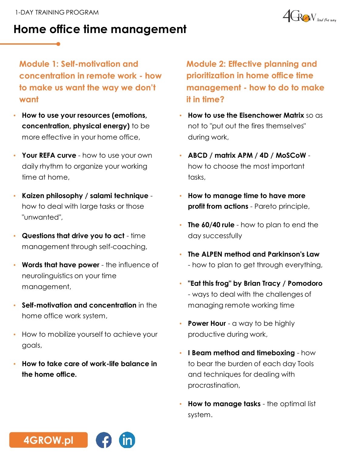



**Module 1: Self-motivation and concentration in remote work - how to make us want the way we don't want**

- **How to use your resources (emotions, concentration, physical energy)** to be more effective in your home office,
- **Your REFA curve**  how to use your own daily rhythm to organize your working time at home,
- **Kaizen philosophy / salami technique**  how to deal with large tasks or those "unwanted",
- **Questions that drive you to act**  time management through self-coaching,
- **Words that have power**  the influence of neurolinguistics on your time management,
- **Self-motivation and concentration** in the home office work system,
- How to mobilize yourself to achieve your goals,
- **How to take care of work-life balance in the home office.**

**Module 2: Effective planning and prioritization in home office time management - how to do to make it in time?**

- **How to use the Eisenchower Matrix** so as not to "put out the fires themselves" during work,
- **ABCD / matrix APM / 4D / MoSCoW** how to choose the most important tasks,
- **How to manage time to have more profit from actions** - Pareto principle,
- **The 60/40 rule**  how to plan to end the day successfully
- **The ALPEN method and Parkinson's Law**  - how to plan to get through everything,
- **"Eat this frog" by Brian Tracy / Pomodoro**  - ways to deal with the challenges of managing remote working time
- **Power Hour**  a way to be highly productive during work,
- **I Beam method and timeboxing**  how to bear the burden of each day Tools and techniques for dealing with procrastination,
- **How to manage tasks**  the optimal list system.